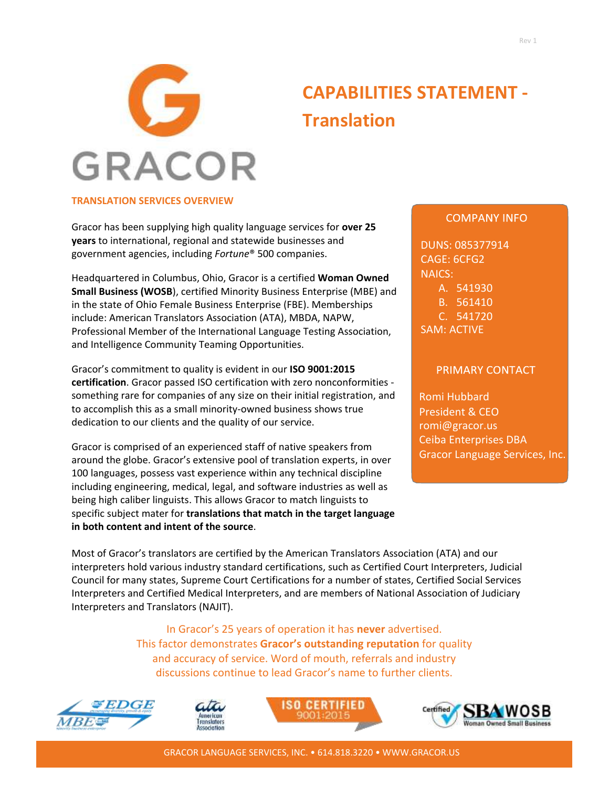

# **CAPABILITIES STATEMENT - Translation**

## **TRANSLATION SERVICES OVERVIEW**

Gracor has been supplying high quality language services for **over 25 years** to international, regional and statewide businesses and government agencies, including *Fortune*® 500 companies.

Headquartered in Columbus, Ohio, Gracor is a certified **Woman Owned Small Business (WOSB**), certified Minority Business Enterprise (MBE) and in the state of Ohio Female Business Enterprise (FBE). Memberships include: American Translators Association (ATA), MBDA, NAPW, Professional Member of the International Language Testing Association, and Intelligence Community Teaming Opportunities.

Gracor's commitment to quality is evident in our **ISO 9001:2015 certification**. Gracor passed ISO certification with zero nonconformities something rare for companies of any size on their initial registration, and to accomplish this as a small minority-owned business shows true dedication to our clients and the quality of our service.

Gracor is comprised of an experienced staff of native speakers from around the globe. Gracor's extensive pool of translation experts, in over 100 languages, possess vast experience within any technical discipline including engineering, medical, legal, and software industries as well as being high caliber linguists. This allows Gracor to match linguists to specific subject mater for **translations that match in the target language in both content and intent of the source**.

### **COMPANY INFO**

DUNS: 085377914 CAGE: 6CFG2 NAICS: A. 541930 B. 561410 C. 541720 SAM: ACTIVE

#### PRIMARY CONTACT

Romi Hubbard President & CEO [romi@gracor.us](mailto:romi@grAcor.com) Ceiba Enterprises DBA Gracor Language Services, Inc.

Most of Gracor's translators are certified by the American Translators Association (ATA) and our interpreters hold various industry standard certifications, such as Certified Court Interpreters, Judicial Council for many states, Supreme Court Certifications for a number of states, Certified Social Services Interpreters and Certified Medical Interpreters, and are members of National Association of Judiciary Interpreters and Translators (NAJIT).

> In Gracor's 25 years of operation it has **never** advertised. This factor demonstrates **Gracor's outstanding reputation** for quality and accuracy of service. Word of mouth, referrals and industry discussions continue to lead Gracor's name to further clients.









GRACOR LANGUAGE SERVICES, INC. • 614.818.3220 • [WWW.GRACOR.US](http://www.gracor.com/)